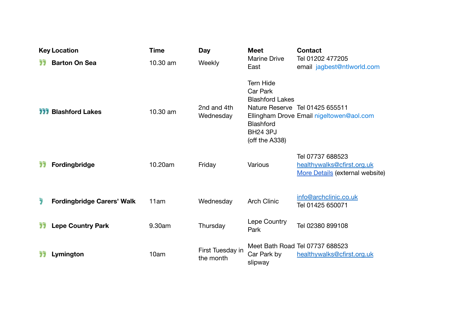| <b>Key Location</b> |                                   | <b>Time</b> | <b>Day</b>                    | <b>Meet</b>                                                                                                     | <b>Contact</b>                                                                    |
|---------------------|-----------------------------------|-------------|-------------------------------|-----------------------------------------------------------------------------------------------------------------|-----------------------------------------------------------------------------------|
|                     | <b>Barton On Sea</b>              | 10.30 am    | Weekly                        | <b>Marine Drive</b><br>East                                                                                     | Tel 01202 477205<br>email jagbest@ntlworld.com                                    |
|                     | <b>111 Blashford Lakes</b>        | 10.30 am    | 2nd and 4th<br>Wednesday      | <b>Tern Hide</b><br>Car Park<br><b>Blashford Lakes</b><br><b>Blashford</b><br><b>BH24 3PJ</b><br>(off the A338) | Nature Reserve Tel 01425 655511<br>Ellingham Drove Email nigeltowen@aol.com       |
| 77                  | Fordingbridge                     | 10.20am     | Friday                        | Various                                                                                                         | Tel 07737 688523<br>healthywalks@cfirst.org.uk<br>More Details (external website) |
| Ï                   | <b>Fordingbridge Carers' Walk</b> | 11am        | Wednesday                     | <b>Arch Clinic</b>                                                                                              | info@archclinic.co.uk<br>Tel 01425 650071                                         |
| 77                  | <b>Lepe Country Park</b>          | 9.30am      | Thursday                      | Lepe Country<br>Park                                                                                            | Tel 02380 899108                                                                  |
|                     | Lymington                         | 10am        | First Tuesday in<br>the month | Car Park by<br>slipway                                                                                          | Meet Bath Road Tel 07737 688523<br>healthywalks@cfirst.org.uk                     |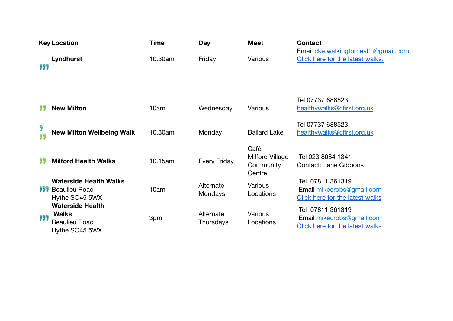| <b>Key Location</b> |                                                                                   | <b>Time</b> | Day                    | <b>Meet</b>                                           | <b>Contact</b>                                                                          |
|---------------------|-----------------------------------------------------------------------------------|-------------|------------------------|-------------------------------------------------------|-----------------------------------------------------------------------------------------|
| 999                 | Lyndhurst                                                                         | 10.30am     | Friday                 | Various                                               | Email cke.walkingforhealth@gmail.com<br>Click here for the latest walks.                |
| לל                  | <b>New Milton</b>                                                                 | 10am        | Wednesday              | Various                                               | Tel 07737 688523<br>healthywalks@cfirst.org.uk                                          |
| Ĵ<br>93             | <b>New Milton Wellbeing Walk</b>                                                  | 10.30am     | Monday                 | <b>Ballard Lake</b>                                   | Tel 07737 688523<br>healthywalks@cfirst.org.uk                                          |
| לל                  | <b>Milford Health Walks</b>                                                       | 10.15am     | <b>Every Friday</b>    | Café<br><b>Milford Village</b><br>Community<br>Centre | Tel 023 8084 1341<br>Contact: Jane Gibbons                                              |
|                     | <b>Waterside Health Walks</b><br><b>111</b> Beaulieu Road<br>Hythe SO45 5WX       | 10am        | Alternate<br>Mondays   | Various<br>Locations                                  | Tel 07811 361319<br>Email mikecrobs@gmail.com<br><b>Click here for the latest walks</b> |
| 999                 | <b>Waterside Health</b><br><b>Walks</b><br><b>Beaulieu Road</b><br>Hythe SO45 5WX | 3pm         | Alternate<br>Thursdays | Various<br>Locations                                  | Tel 07811 361319<br>Email mikecrobs@gmail.com<br><b>Click here for the latest walks</b> |